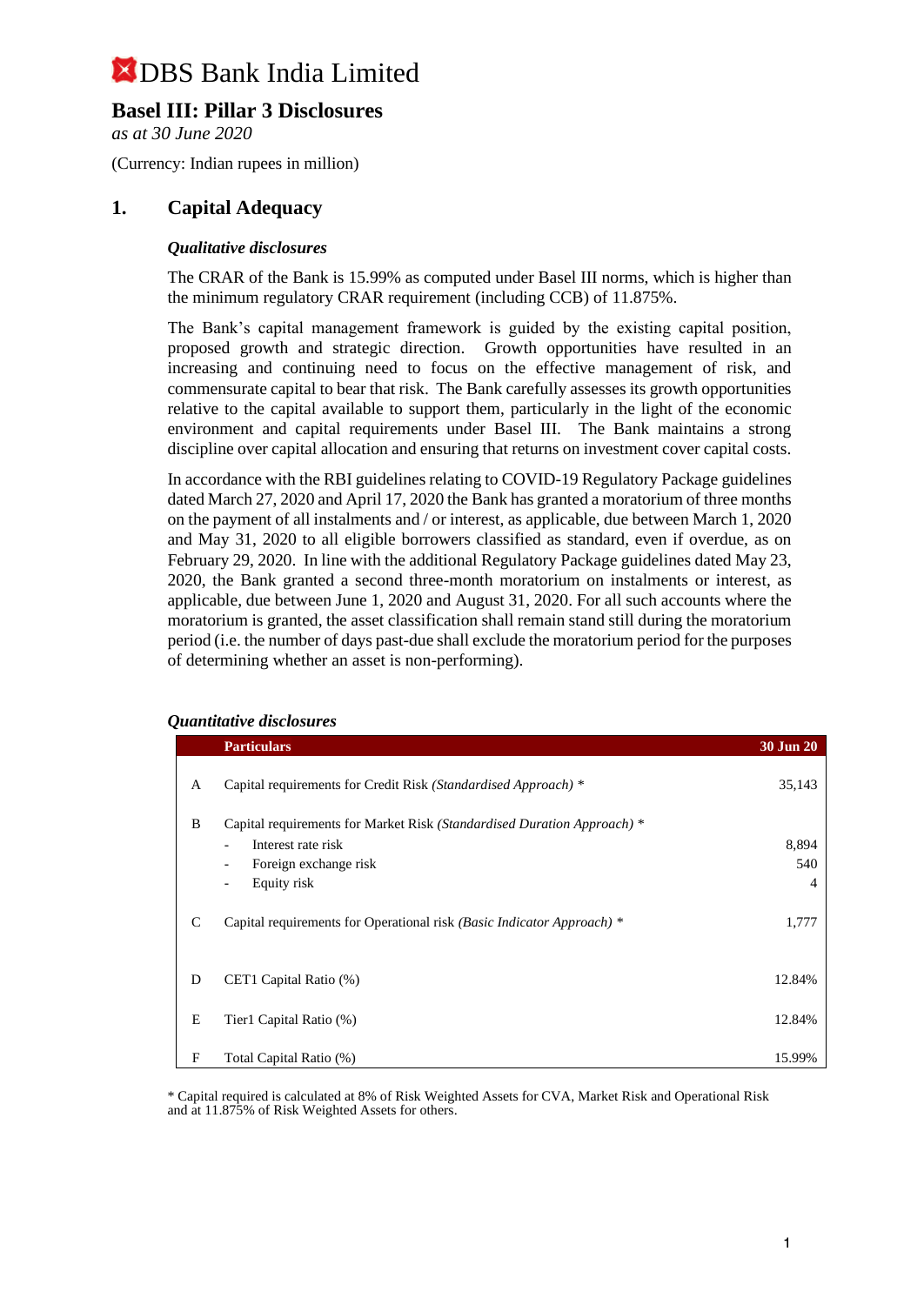## **Basel III: Pillar 3 Disclosures**

*as at 30 June 2020*

(Currency: Indian rupees in million)

### **1. Capital Adequacy**

### *Qualitative disclosures*

The CRAR of the Bank is 15.99% as computed under Basel III norms, which is higher than the minimum regulatory CRAR requirement (including CCB) of 11.875%.

The Bank's capital management framework is guided by the existing capital position, proposed growth and strategic direction. Growth opportunities have resulted in an increasing and continuing need to focus on the effective management of risk, and commensurate capital to bear that risk. The Bank carefully assesses its growth opportunities relative to the capital available to support them, particularly in the light of the economic environment and capital requirements under Basel III. The Bank maintains a strong discipline over capital allocation and ensuring that returns on investment cover capital costs.

In accordance with the RBI guidelines relating to COVID-19 Regulatory Package guidelines dated March 27, 2020 and April 17, 2020 the Bank has granted a moratorium of three months on the payment of all instalments and / or interest, as applicable, due between March 1, 2020 and May 31, 2020 to all eligible borrowers classified as standard, even if overdue, as on February 29, 2020. In line with the additional Regulatory Package guidelines dated May 23, 2020, the Bank granted a second three-month moratorium on instalments or interest, as applicable, due between June 1, 2020 and August 31, 2020. For all such accounts where the moratorium is granted, the asset classification shall remain stand still during the moratorium period (i.e. the number of days past-due shall exclude the moratorium period for the purposes of determining whether an asset is non-performing).

|   | <b>Particulars</b>                                                      | <b>30 Jun 20</b> |
|---|-------------------------------------------------------------------------|------------------|
| A | Capital requirements for Credit Risk (Standardised Approach) *          | 35,143           |
| B | Capital requirements for Market Risk (Standardised Duration Approach) * |                  |
|   | Interest rate risk<br>$\overline{\phantom{a}}$                          | 8,894            |
|   | Foreign exchange risk<br>$\overline{\phantom{a}}$                       | 540              |
|   | Equity risk<br>$\overline{\phantom{a}}$                                 | $\overline{4}$   |
| C | Capital requirements for Operational risk (Basic Indicator Approach) *  | 1,777            |
| D | CET1 Capital Ratio (%)                                                  | 12.84%           |
| E | Tier1 Capital Ratio (%)                                                 | 12.84%           |
| F | Total Capital Ratio (%)                                                 | 15.99%           |

#### *Quantitative disclosures*

\* Capital required is calculated at 8% of Risk Weighted Assets for CVA, Market Risk and Operational Risk and at 11.875% of Risk Weighted Assets for others.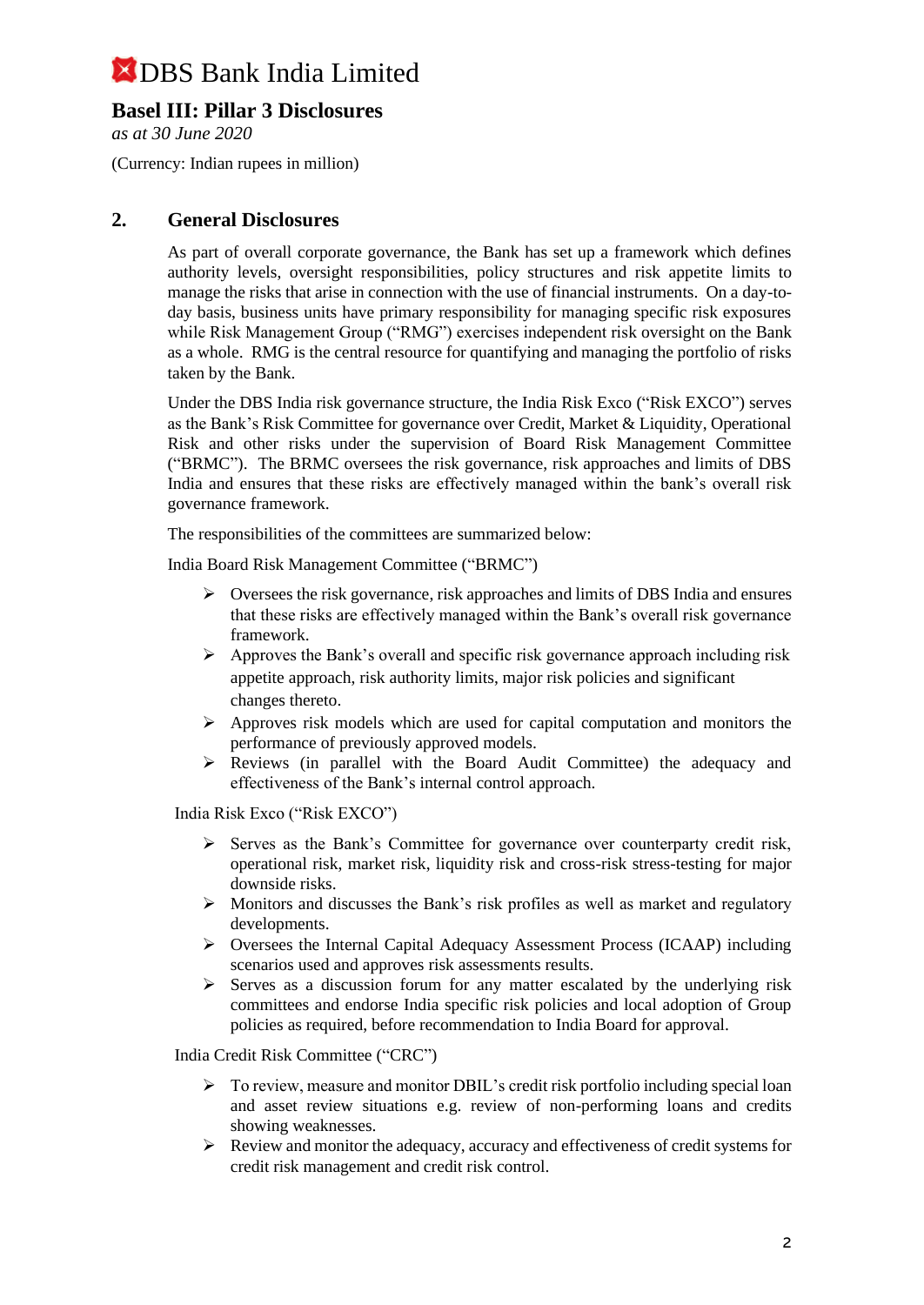## **Basel III: Pillar 3 Disclosures**

*as at 30 June 2020*

(Currency: Indian rupees in million)

## **2. General Disclosures**

As part of overall corporate governance, the Bank has set up a framework which defines authority levels, oversight responsibilities, policy structures and risk appetite limits to manage the risks that arise in connection with the use of financial instruments. On a day-today basis, business units have primary responsibility for managing specific risk exposures while Risk Management Group ("RMG") exercises independent risk oversight on the Bank as a whole. RMG is the central resource for quantifying and managing the portfolio of risks taken by the Bank.

Under the DBS India risk governance structure, the India Risk Exco ("Risk EXCO") serves as the Bank's Risk Committee for governance over Credit, Market & Liquidity, Operational Risk and other risks under the supervision of Board Risk Management Committee ("BRMC"). The BRMC oversees the risk governance, risk approaches and limits of DBS India and ensures that these risks are effectively managed within the bank's overall risk governance framework.

The responsibilities of the committees are summarized below:

India Board Risk Management Committee ("BRMC")

- $\triangleright$  Oversees the risk governance, risk approaches and limits of DBS India and ensures that these risks are effectively managed within the Bank's overall risk governance framework.
- $\triangleright$  Approves the Bank's overall and specific risk governance approach including risk appetite approach, risk authority limits, major risk policies and significant changes thereto.
- $\triangleright$  Approves risk models which are used for capital computation and monitors the performance of previously approved models.
- ➢ Reviews (in parallel with the Board Audit Committee) the adequacy and effectiveness of the Bank's internal control approach.

India Risk Exco ("Risk EXCO")

- $\triangleright$  Serves as the Bank's Committee for governance over counterparty credit risk, operational risk, market risk, liquidity risk and cross-risk stress-testing for major downside risks.
- $\triangleright$  Monitors and discusses the Bank's risk profiles as well as market and regulatory developments.
- ➢ Oversees the Internal Capital Adequacy Assessment Process (ICAAP) including scenarios used and approves risk assessments results.
- ➢ Serves as a discussion forum for any matter escalated by the underlying risk committees and endorse India specific risk policies and local adoption of Group policies as required, before recommendation to India Board for approval.

India Credit Risk Committee ("CRC")

- ➢ To review, measure and monitor DBIL's credit risk portfolio including special loan and asset review situations e.g. review of non-performing loans and credits showing weaknesses.
- $\triangleright$  Review and monitor the adequacy, accuracy and effectiveness of credit systems for credit risk management and credit risk control.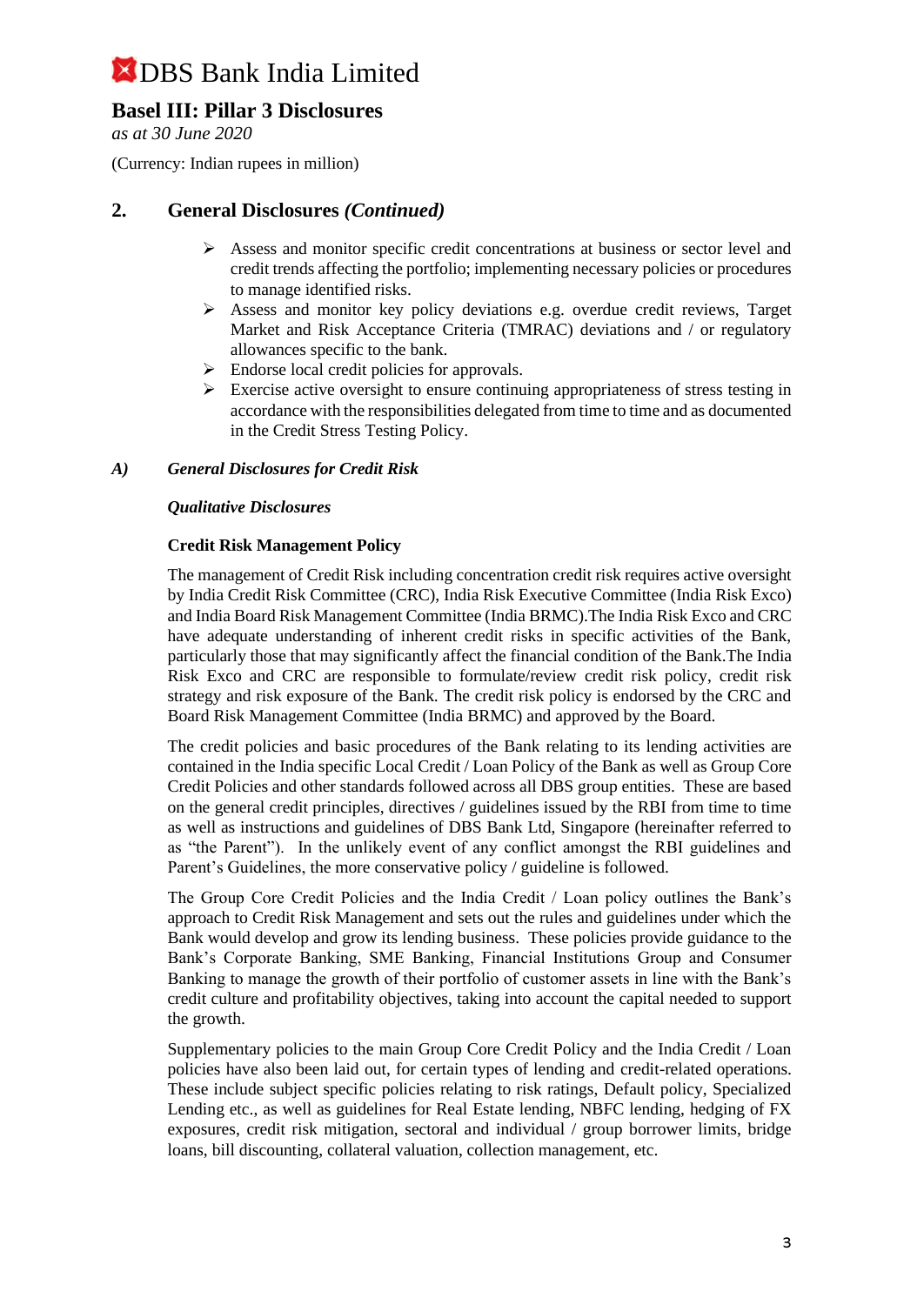## **Basel III: Pillar 3 Disclosures**

*as at 30 June 2020*

(Currency: Indian rupees in million)

## **2. General Disclosures** *(Continued)*

- ➢ Assess and monitor specific credit concentrations at business or sector level and credit trends affecting the portfolio; implementing necessary policies or procedures to manage identified risks.
- ➢ Assess and monitor key policy deviations e.g. overdue credit reviews, Target Market and Risk Acceptance Criteria (TMRAC) deviations and / or regulatory allowances specific to the bank.
- $\triangleright$  Endorse local credit policies for approvals.
- $\triangleright$  Exercise active oversight to ensure continuing appropriateness of stress testing in accordance with the responsibilities delegated from time to time and as documented in the Credit Stress Testing Policy.

### *A) General Disclosures for Credit Risk*

### *Qualitative Disclosures*

### **Credit Risk Management Policy**

The management of Credit Risk including concentration credit risk requires active oversight by India Credit Risk Committee (CRC), India Risk Executive Committee (India Risk Exco) and India Board Risk Management Committee (India BRMC).The India Risk Exco and CRC have adequate understanding of inherent credit risks in specific activities of the Bank, particularly those that may significantly affect the financial condition of the Bank.The India Risk Exco and CRC are responsible to formulate/review credit risk policy, credit risk strategy and risk exposure of the Bank. The credit risk policy is endorsed by the CRC and Board Risk Management Committee (India BRMC) and approved by the Board.

The credit policies and basic procedures of the Bank relating to its lending activities are contained in the India specific Local Credit / Loan Policy of the Bank as well as Group Core Credit Policies and other standards followed across all DBS group entities. These are based on the general credit principles, directives / guidelines issued by the RBI from time to time as well as instructions and guidelines of DBS Bank Ltd, Singapore (hereinafter referred to as "the Parent"). In the unlikely event of any conflict amongst the RBI guidelines and Parent's Guidelines, the more conservative policy / guideline is followed.

The Group Core Credit Policies and the India Credit / Loan policy outlines the Bank's approach to Credit Risk Management and sets out the rules and guidelines under which the Bank would develop and grow its lending business. These policies provide guidance to the Bank's Corporate Banking, SME Banking, Financial Institutions Group and Consumer Banking to manage the growth of their portfolio of customer assets in line with the Bank's credit culture and profitability objectives, taking into account the capital needed to support the growth.

Supplementary policies to the main Group Core Credit Policy and the India Credit / Loan policies have also been laid out, for certain types of lending and credit-related operations. These include subject specific policies relating to risk ratings, Default policy, Specialized Lending etc., as well as guidelines for Real Estate lending, NBFC lending, hedging of FX exposures, credit risk mitigation, sectoral and individual / group borrower limits, bridge loans, bill discounting, collateral valuation, collection management, etc.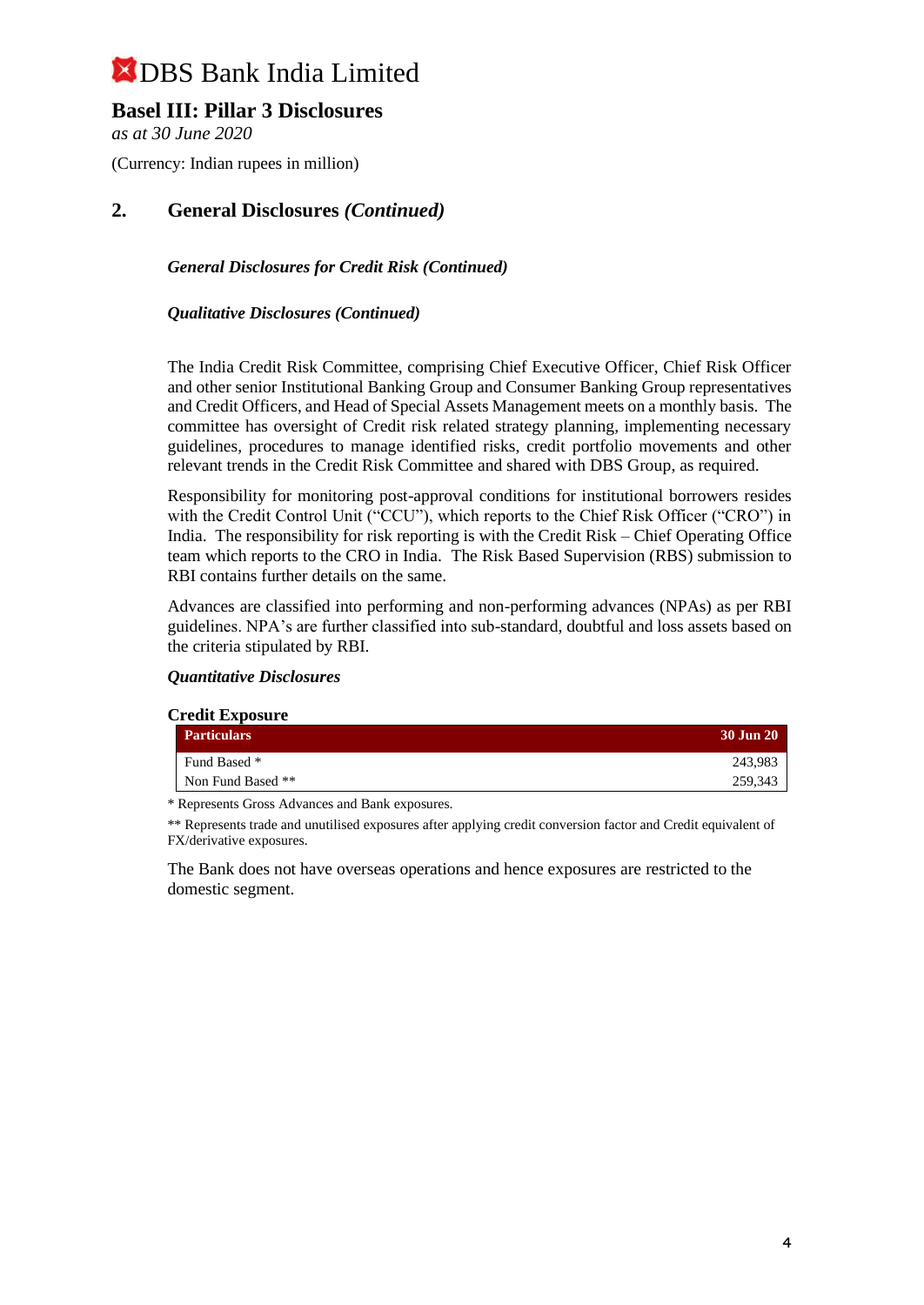## **Basel III: Pillar 3 Disclosures**

*as at 30 June 2020*

(Currency: Indian rupees in million)

## **2. General Disclosures** *(Continued)*

### *General Disclosures for Credit Risk (Continued)*

### *Qualitative Disclosures (Continued)*

The India Credit Risk Committee, comprising Chief Executive Officer, Chief Risk Officer and other senior Institutional Banking Group and Consumer Banking Group representatives and Credit Officers, and Head of Special Assets Management meets on a monthly basis. The committee has oversight of Credit risk related strategy planning, implementing necessary guidelines, procedures to manage identified risks, credit portfolio movements and other relevant trends in the Credit Risk Committee and shared with DBS Group, as required.

Responsibility for monitoring post-approval conditions for institutional borrowers resides with the Credit Control Unit ("CCU"), which reports to the Chief Risk Officer ("CRO") in India. The responsibility for risk reporting is with the Credit Risk – Chief Operating Office team which reports to the CRO in India. The Risk Based Supervision (RBS) submission to RBI contains further details on the same.

Advances are classified into performing and non-performing advances (NPAs) as per RBI guidelines. NPA's are further classified into sub-standard, doubtful and loss assets based on the criteria stipulated by RBI.

#### *Quantitative Disclosures*

| <b>Credit Exposure</b> |                    |           |
|------------------------|--------------------|-----------|
|                        | <b>Particulars</b> | 30 Jun 20 |
|                        | Fund Based *       | 243.983   |
|                        | Non Fund Based **  | 259,343   |

\* Represents Gross Advances and Bank exposures.

\*\* Represents trade and unutilised exposures after applying credit conversion factor and Credit equivalent of FX/derivative exposures.

The Bank does not have overseas operations and hence exposures are restricted to the domestic segment.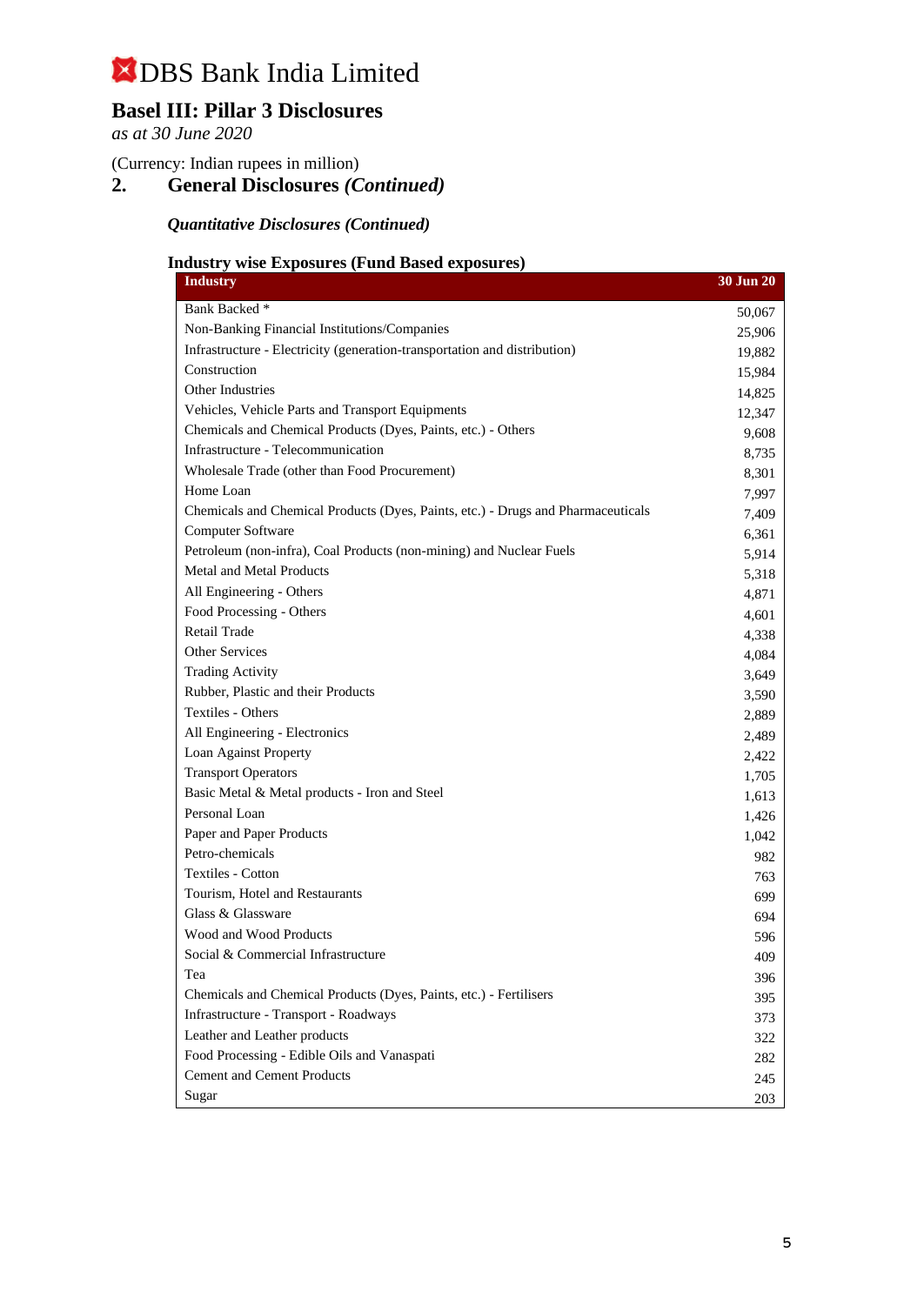# **Basel III: Pillar 3 Disclosures**

*as at 30 June 2020*

(Currency: Indian rupees in million)

**2. General Disclosures** *(Continued)*

*Quantitative Disclosures (Continued)*

### **Industry wise Exposures (Fund Based exposures)**

| <b>Industry</b>                                                                  | <b>30 Jun 20</b> |
|----------------------------------------------------------------------------------|------------------|
| Bank Backed *                                                                    | 50,067           |
| Non-Banking Financial Institutions/Companies                                     | 25,906           |
| Infrastructure - Electricity (generation-transportation and distribution)        | 19,882           |
| Construction                                                                     | 15,984           |
| Other Industries                                                                 | 14,825           |
| Vehicles, Vehicle Parts and Transport Equipments                                 | 12,347           |
| Chemicals and Chemical Products (Dyes, Paints, etc.) - Others                    | 9,608            |
| Infrastructure - Telecommunication                                               | 8,735            |
| Wholesale Trade (other than Food Procurement)                                    | 8,301            |
| Home Loan                                                                        | 7,997            |
| Chemicals and Chemical Products (Dyes, Paints, etc.) - Drugs and Pharmaceuticals | 7,409            |
| Computer Software                                                                | 6,361            |
| Petroleum (non-infra), Coal Products (non-mining) and Nuclear Fuels              | 5,914            |
| <b>Metal and Metal Products</b>                                                  | 5,318            |
| All Engineering - Others                                                         | 4,871            |
| Food Processing - Others                                                         | 4,601            |
| <b>Retail Trade</b>                                                              | 4,338            |
| Other Services                                                                   | 4,084            |
| <b>Trading Activity</b>                                                          | 3,649            |
| Rubber, Plastic and their Products                                               | 3,590            |
| Textiles - Others                                                                | 2,889            |
| All Engineering - Electronics                                                    | 2,489            |
| Loan Against Property                                                            | 2,422            |
| <b>Transport Operators</b>                                                       | 1,705            |
| Basic Metal & Metal products - Iron and Steel                                    | 1,613            |
| Personal Loan                                                                    | 1,426            |
| Paper and Paper Products                                                         | 1,042            |
| Petro-chemicals                                                                  | 982              |
| <b>Textiles - Cotton</b>                                                         | 763              |
| Tourism, Hotel and Restaurants                                                   | 699              |
| Glass & Glassware                                                                | 694              |
| Wood and Wood Products                                                           | 596              |
| Social & Commercial Infrastructure                                               | 409              |
| Tea                                                                              | 396              |
| Chemicals and Chemical Products (Dyes, Paints, etc.) - Fertilisers               | 395              |
| Infrastructure - Transport - Roadways                                            | 373              |
| Leather and Leather products                                                     | 322              |
| Food Processing - Edible Oils and Vanaspati                                      | 282              |
| <b>Cement and Cement Products</b>                                                | 245              |
| Sugar                                                                            | 203              |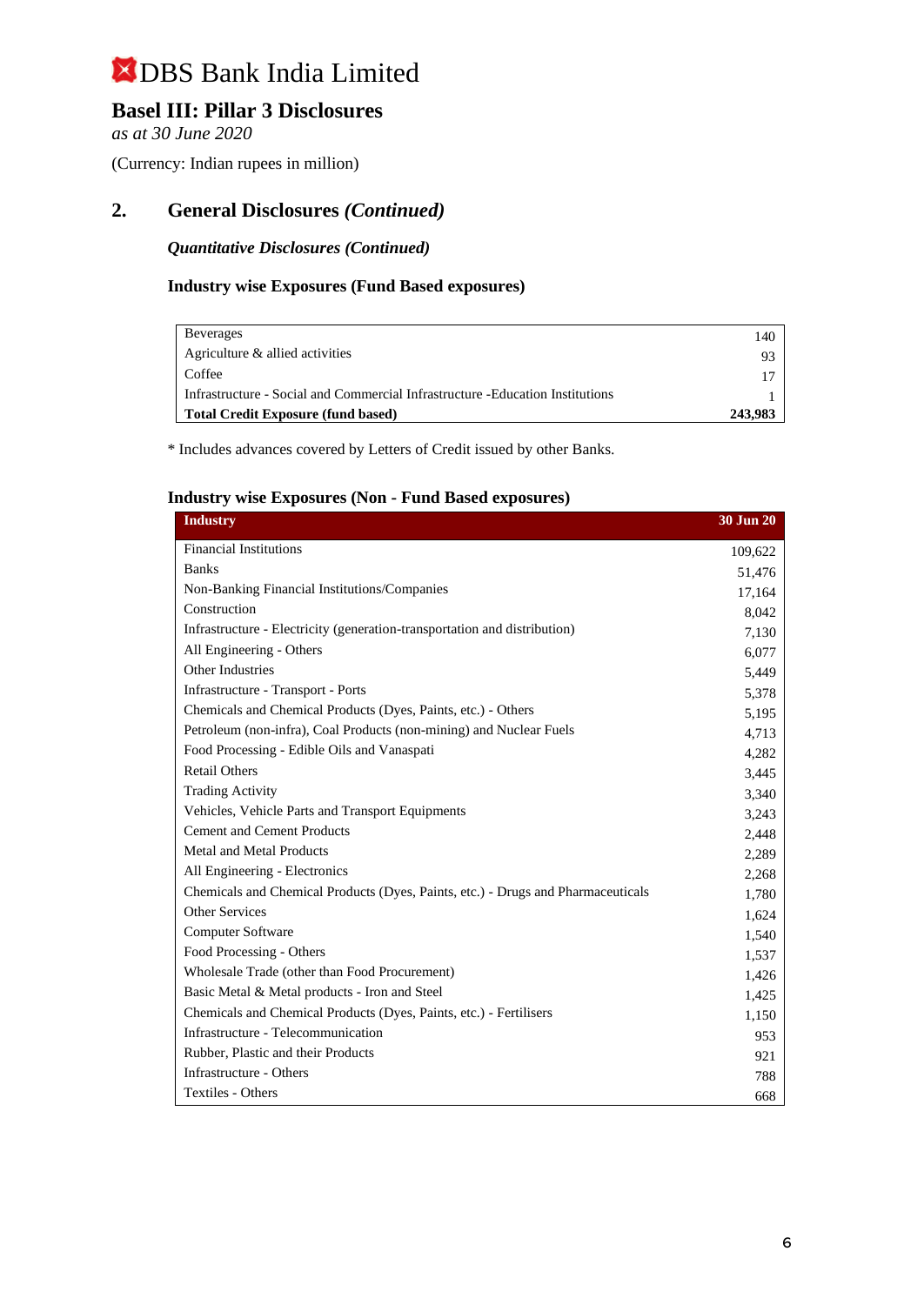## **Basel III: Pillar 3 Disclosures**

*as at 30 June 2020*

(Currency: Indian rupees in million)

## **2. General Disclosures** *(Continued)*

*Quantitative Disclosures (Continued)*

### **Industry wise Exposures (Fund Based exposures)**

| <b>Beverages</b>                                                               | 140     |
|--------------------------------------------------------------------------------|---------|
| Agriculture & allied activities                                                |         |
| Coffee                                                                         |         |
| Infrastructure - Social and Commercial Infrastructure - Education Institutions |         |
| <b>Total Credit Exposure (fund based)</b>                                      | 243,983 |

\* Includes advances covered by Letters of Credit issued by other Banks.

### **Industry wise Exposures (Non - Fund Based exposures)**

| <b>Industry</b>                                                                  | 30 Jun 20 |
|----------------------------------------------------------------------------------|-----------|
| <b>Financial Institutions</b>                                                    | 109,622   |
| <b>Banks</b>                                                                     | 51,476    |
| Non-Banking Financial Institutions/Companies                                     | 17,164    |
| Construction                                                                     | 8,042     |
| Infrastructure - Electricity (generation-transportation and distribution)        | 7,130     |
| All Engineering - Others                                                         | 6,077     |
| Other Industries                                                                 | 5,449     |
| Infrastructure - Transport - Ports                                               | 5,378     |
| Chemicals and Chemical Products (Dyes, Paints, etc.) - Others                    | 5,195     |
| Petroleum (non-infra), Coal Products (non-mining) and Nuclear Fuels              | 4,713     |
| Food Processing - Edible Oils and Vanaspati                                      | 4,282     |
| <b>Retail Others</b>                                                             | 3,445     |
| <b>Trading Activity</b>                                                          | 3,340     |
| Vehicles, Vehicle Parts and Transport Equipments                                 | 3,243     |
| <b>Cement and Cement Products</b>                                                | 2,448     |
| <b>Metal and Metal Products</b>                                                  | 2,289     |
| All Engineering - Electronics                                                    | 2,268     |
| Chemicals and Chemical Products (Dyes, Paints, etc.) - Drugs and Pharmaceuticals | 1,780     |
| <b>Other Services</b>                                                            | 1,624     |
| Computer Software                                                                | 1,540     |
| Food Processing - Others                                                         | 1,537     |
| Wholesale Trade (other than Food Procurement)                                    | 1,426     |
| Basic Metal & Metal products - Iron and Steel                                    | 1,425     |
| Chemicals and Chemical Products (Dyes, Paints, etc.) - Fertilisers               | 1,150     |
| Infrastructure - Telecommunication                                               | 953       |
| Rubber, Plastic and their Products                                               | 921       |
| Infrastructure - Others                                                          | 788       |
| Textiles - Others                                                                | 668       |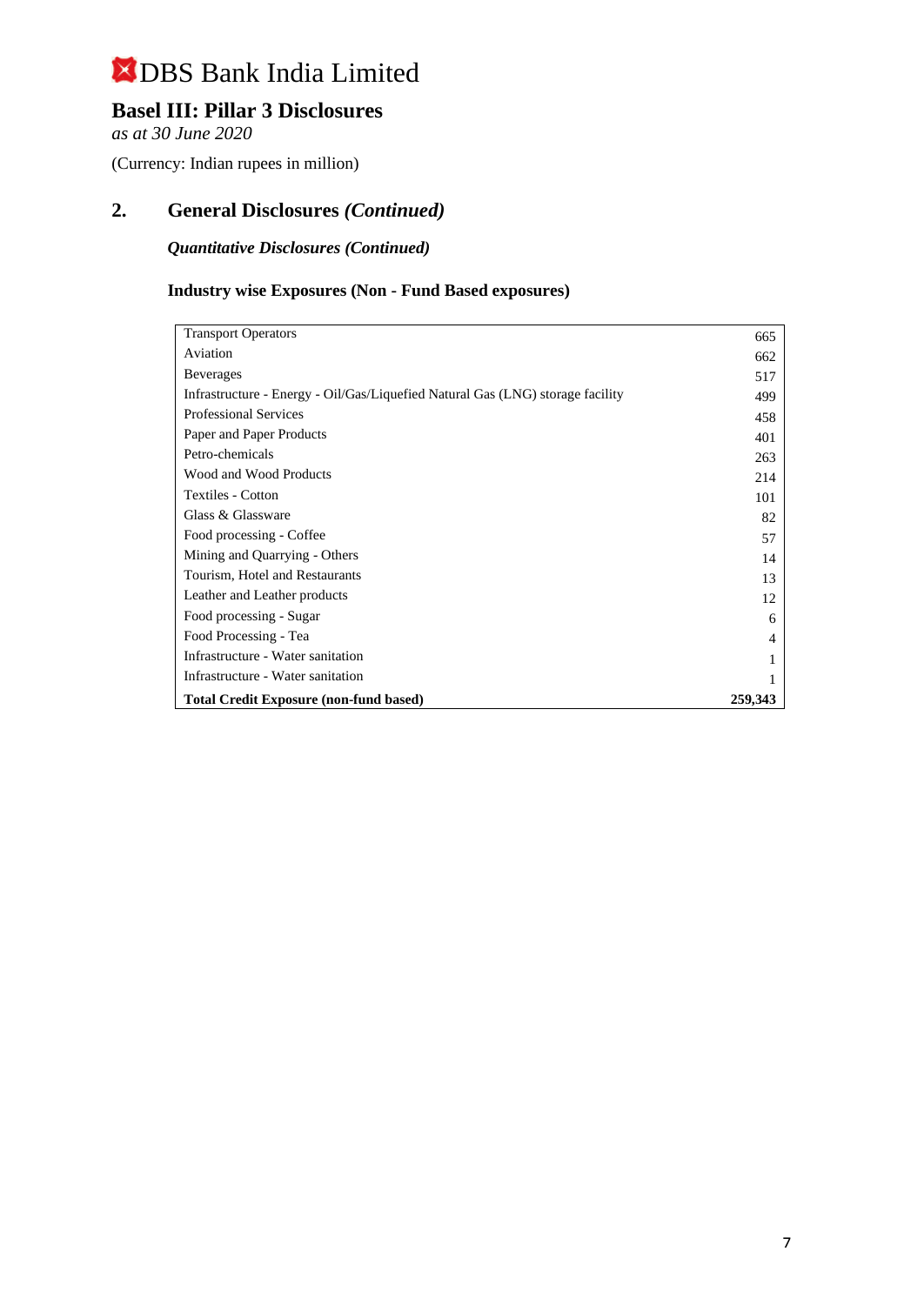## **Basel III: Pillar 3 Disclosures**

*as at 30 June 2020*

(Currency: Indian rupees in million)

## **2. General Disclosures** *(Continued)*

*Quantitative Disclosures (Continued)*

## **Industry wise Exposures (Non - Fund Based exposures)**

| <b>Transport Operators</b>                                                     | 665            |
|--------------------------------------------------------------------------------|----------------|
| Aviation                                                                       | 662            |
| <b>Beverages</b>                                                               | 517            |
| Infrastructure - Energy - Oil/Gas/Liquefied Natural Gas (LNG) storage facility | 499            |
| <b>Professional Services</b>                                                   | 458            |
| Paper and Paper Products                                                       | 401            |
| Petro-chemicals                                                                | 263            |
| Wood and Wood Products                                                         | 214            |
| <b>Textiles - Cotton</b>                                                       | 101            |
| Glass & Glassware                                                              | 82             |
| Food processing - Coffee                                                       | 57             |
| Mining and Quarrying - Others                                                  | 14             |
| Tourism, Hotel and Restaurants                                                 | 13             |
| Leather and Leather products                                                   | 12             |
| Food processing - Sugar                                                        | 6              |
| Food Processing - Tea                                                          | $\overline{4}$ |
| Infrastructure - Water sanitation                                              | 1              |
| Infrastructure - Water sanitation                                              | 1              |
| <b>Total Credit Exposure (non-fund based)</b>                                  | 259,343        |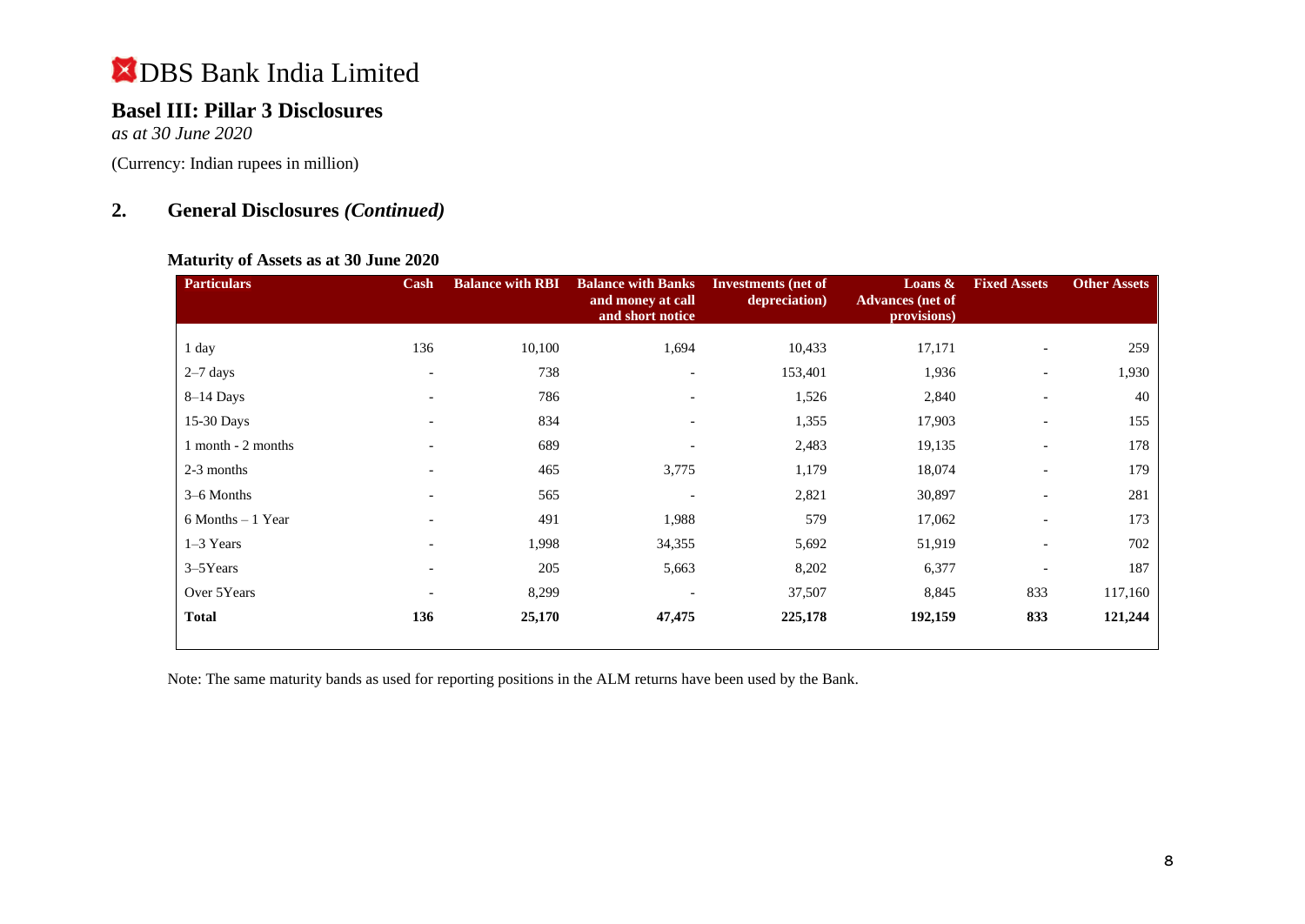# **Basel III: Pillar 3 Disclosures**

*as at 30 June 2020*

(Currency: Indian rupees in million)

## **2. General Disclosures** *(Continued)*

### **Maturity of Assets as at 30 June 2020**

| <b>Particulars</b>   | Cash                     | <b>Balance with RBI</b> | <b>Balance with Banks</b><br>and money at call<br>and short notice | <b>Investments</b> (net of<br>depreciation) | Loans $\&$<br><b>Advances</b> (net of<br>provisions) | <b>Fixed Assets</b>      | <b>Other Assets</b> |
|----------------------|--------------------------|-------------------------|--------------------------------------------------------------------|---------------------------------------------|------------------------------------------------------|--------------------------|---------------------|
| 1 day                | 136                      | 10,100                  | 1,694                                                              | 10,433                                      | 17,171                                               |                          | 259                 |
| $2-7$ days           | $\overline{\phantom{0}}$ | 738                     | ۰                                                                  | 153,401                                     | 1,936                                                | $\overline{\phantom{a}}$ | 1,930               |
| $8-14$ Days          | $\overline{\phantom{a}}$ | 786                     | $\overline{\phantom{a}}$                                           | 1,526                                       | 2,840                                                | $\overline{\phantom{a}}$ | 40                  |
| 15-30 Days           |                          | 834                     | $\overline{\phantom{0}}$                                           | 1,355                                       | 17,903                                               |                          | 155                 |
| 1 month - 2 months   | $\overline{\phantom{0}}$ | 689                     | ۰                                                                  | 2,483                                       | 19,135                                               | $\overline{\phantom{a}}$ | 178                 |
| 2-3 months           |                          | 465                     | 3,775                                                              | 1,179                                       | 18,074                                               |                          | 179                 |
| 3–6 Months           | $\overline{\phantom{0}}$ | 565                     |                                                                    | 2,821                                       | 30,897                                               | $\overline{\phantom{a}}$ | 281                 |
| $6$ Months $-1$ Year |                          | 491                     | 1,988                                                              | 579                                         | 17,062                                               |                          | 173                 |
| $1-3$ Years          |                          | 1,998                   | 34,355                                                             | 5,692                                       | 51,919                                               |                          | 702                 |
| $3 - 5$ Years        | $\overline{\phantom{a}}$ | 205                     | 5,663                                                              | 8,202                                       | 6,377                                                |                          | 187                 |
| Over 5Years          | $\overline{\phantom{0}}$ | 8,299                   | ۰                                                                  | 37,507                                      | 8,845                                                | 833                      | 117,160             |
| <b>Total</b>         | 136                      | 25,170                  | 47,475                                                             | 225,178                                     | 192,159                                              | 833                      | 121,244             |

Note: The same maturity bands as used for reporting positions in the ALM returns have been used by the Bank.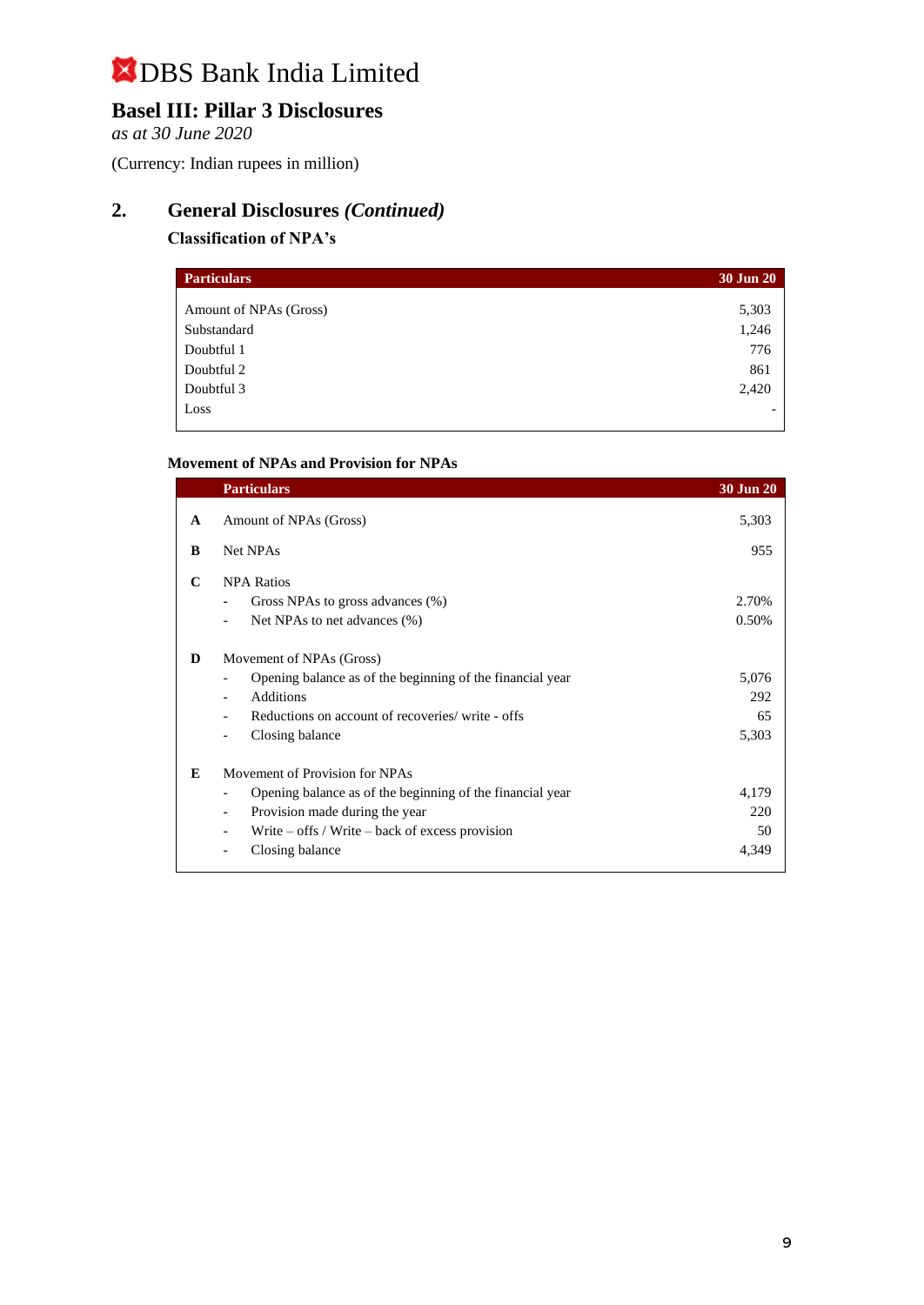# **Basel III: Pillar 3 Disclosures**

*as at 30 June 2020*

(Currency: Indian rupees in million)

# **2. General Disclosures** *(Continued)*

### **Classification of NPA's**

| <b>Particulars</b>     | <b>30 Jun 20</b> |
|------------------------|------------------|
| Amount of NPAs (Gross) | 5,303            |
| Substandard            | 1,246            |
| Doubtful 1             | 776              |
| Doubtful 2             | 861              |
| Doubtful 3             | 2,420            |
| Loss                   |                  |

### **Movement of NPAs and Provision for NPAs**

|   | <b>Particulars</b>                                                                                                                                                                                      | <b>30 Jun 20</b>            |
|---|---------------------------------------------------------------------------------------------------------------------------------------------------------------------------------------------------------|-----------------------------|
| A | Amount of NPAs (Gross)                                                                                                                                                                                  | 5,303                       |
| B | Net NPAs                                                                                                                                                                                                | 955                         |
| C | <b>NPA Ratios</b><br>Gross NPAs to gross advances (%)<br>Net NPAs to net advances (%)                                                                                                                   | 2.70%<br>0.50%              |
| D | Movement of NPAs (Gross)<br>Opening balance as of the beginning of the financial year<br><b>Additions</b><br>Reductions on account of recoveries/write - offs<br>Closing balance                        | 5,076<br>292<br>65<br>5,303 |
| E | Movement of Provision for NPAs<br>Opening balance as of the beginning of the financial year<br>Provision made during the year<br>Write $-$ offs / Write $-$ back of excess provision<br>Closing balance | 4,179<br>220<br>50<br>4.349 |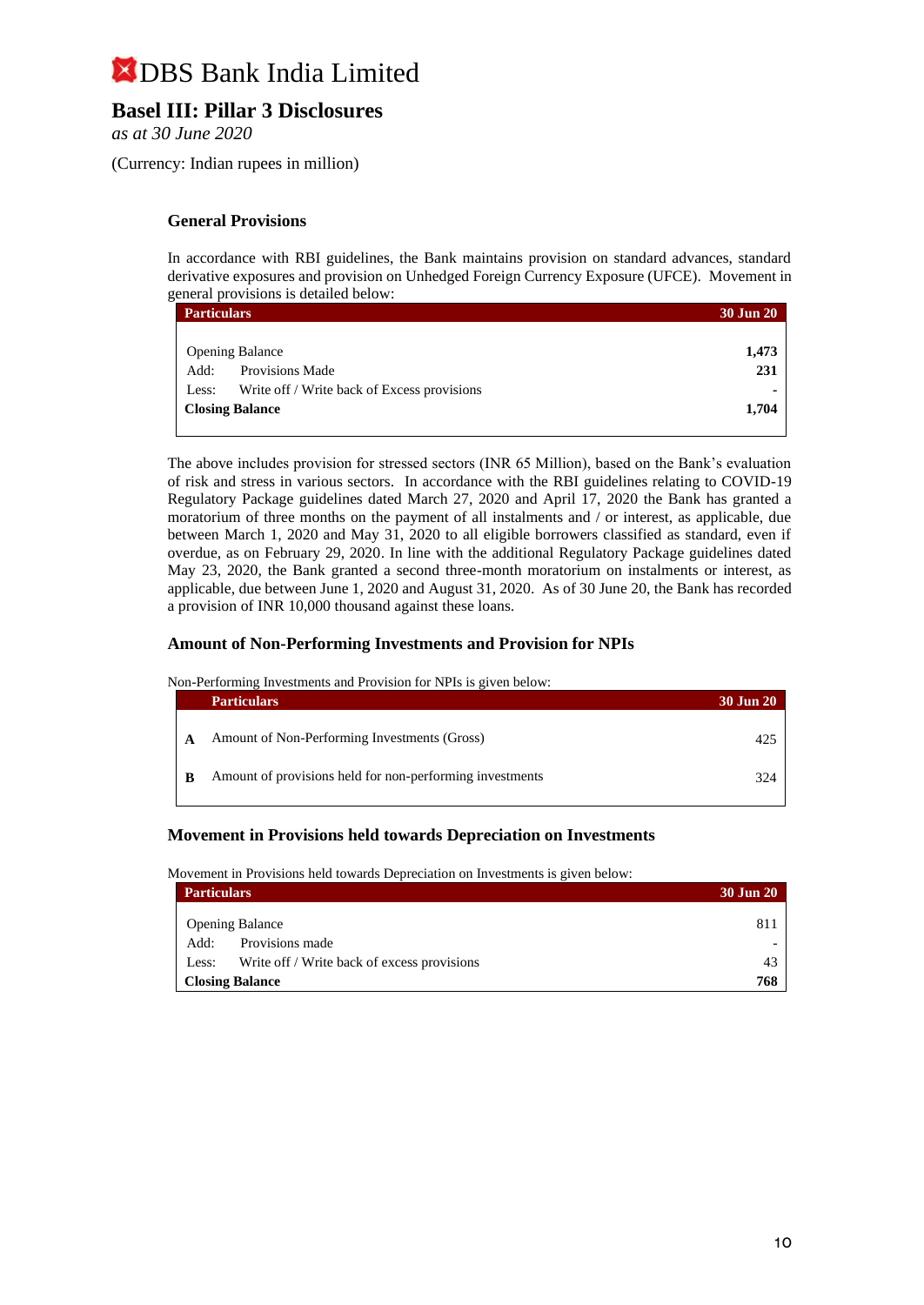## **Basel III: Pillar 3 Disclosures**

*as at 30 June 2020*

(Currency: Indian rupees in million)

#### **General Provisions**

In accordance with RBI guidelines, the Bank maintains provision on standard advances, standard derivative exposures and provision on Unhedged Foreign Currency Exposure (UFCE). Movement in general provisions is detailed below:

| <b>Particulars</b>                                   | <b>30 Jun 20</b> |
|------------------------------------------------------|------------------|
|                                                      |                  |
| <b>Opening Balance</b>                               | 1,473            |
| <b>Provisions Made</b><br>Add:                       | 231              |
| Write off / Write back of Excess provisions<br>Less: |                  |
| <b>Closing Balance</b>                               | 1,704            |

The above includes provision for stressed sectors (INR 65 Million), based on the Bank's evaluation of risk and stress in various sectors. In accordance with the RBI guidelines relating to COVID-19 Regulatory Package guidelines dated March 27, 2020 and April 17, 2020 the Bank has granted a moratorium of three months on the payment of all instalments and / or interest, as applicable, due between March 1, 2020 and May 31, 2020 to all eligible borrowers classified as standard, even if overdue, as on February 29, 2020. In line with the additional Regulatory Package guidelines dated May 23, 2020, the Bank granted a second three-month moratorium on instalments or interest, as applicable, due between June 1, 2020 and August 31, 2020. As of 30 June 20, the Bank has recorded a provision of INR 10,000 thousand against these loans.

#### **Amount of Non-Performing Investments and Provision for NPIs**

Non-Performing Investments and Provision for NPIs is given below:

|     | <b>Particulars</b>                                       | <b>30 Jun 20</b> |
|-----|----------------------------------------------------------|------------------|
|     | Amount of Non-Performing Investments (Gross)             | $42^{\circ}$     |
| - B | Amount of provisions held for non-performing investments | 324              |

#### **Movement in Provisions held towards Depreciation on Investments**

Movement in Provisions held towards Depreciation on Investments is given below:

| <b>Particulars</b>     |                                             |     |
|------------------------|---------------------------------------------|-----|
|                        | <b>Opening Balance</b>                      | 811 |
| Add:                   | Provisions made                             |     |
| Less:                  | Write off / Write back of excess provisions | 43  |
| <b>Closing Balance</b> |                                             | 768 |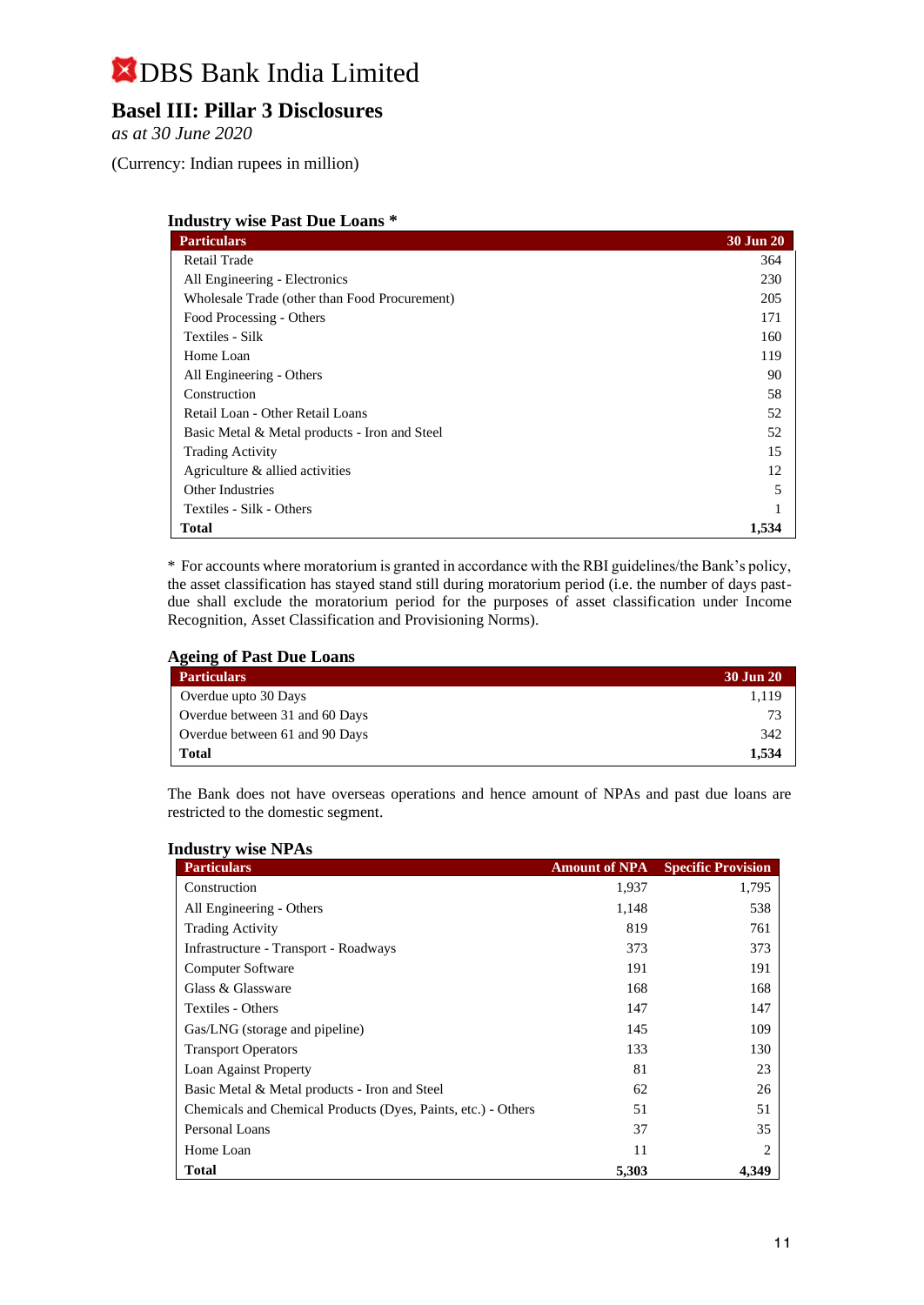## **Basel III: Pillar 3 Disclosures**

*as at 30 June 2020*

(Currency: Indian rupees in million)

| <b>Industry wise Past Due Loans *</b> |  |  |  |  |  |
|---------------------------------------|--|--|--|--|--|
|---------------------------------------|--|--|--|--|--|

| <b>Particulars</b>                            | 30 Jun 20 |
|-----------------------------------------------|-----------|
| Retail Trade                                  | 364       |
| All Engineering - Electronics                 | 230       |
| Wholesale Trade (other than Food Procurement) | 205       |
| Food Processing - Others                      | 171       |
| Textiles - Silk                               | 160       |
| Home Loan                                     | 119       |
| All Engineering - Others                      | 90        |
| Construction                                  | 58        |
| Retail Loan - Other Retail Loans              | 52        |
| Basic Metal & Metal products - Iron and Steel | 52        |
| <b>Trading Activity</b>                       | 15        |
| Agriculture & allied activities               | 12        |
| <b>Other Industries</b>                       | 5         |
| Textiles - Silk - Others                      |           |
| <b>Total</b>                                  | 1,534     |

\* For accounts where moratorium is granted in accordance with the RBI guidelines/the Bank's policy, the asset classification has stayed stand still during moratorium period (i.e. the number of days pastdue shall exclude the moratorium period for the purposes of asset classification under Income Recognition, Asset Classification and Provisioning Norms).

#### **Ageing of Past Due Loans**

| <b>Particulars</b>             | 30 Jun 20 |
|--------------------------------|-----------|
| Overdue upto 30 Days           | 1.119     |
| Overdue between 31 and 60 Days | 73        |
| Overdue between 61 and 90 Days | 342       |
| <b>Total</b>                   | 1.534     |

The Bank does not have overseas operations and hence amount of NPAs and past due loans are restricted to the domestic segment.

| <b>Particulars</b>                                            | <b>Amount of NPA</b> | <b>Specific Provision</b> |
|---------------------------------------------------------------|----------------------|---------------------------|
| Construction                                                  | 1,937                | 1,795                     |
| All Engineering - Others                                      | 1,148                | 538                       |
| <b>Trading Activity</b>                                       | 819                  | 761                       |
| Infrastructure - Transport - Roadways                         | 373                  | 373                       |
| <b>Computer Software</b>                                      | 191                  | 191                       |
| Glass & Glassware                                             | 168                  | 168                       |
| Textiles - Others                                             | 147                  | 147                       |
| Gas/LNG (storage and pipeline)                                | 145                  | 109                       |
| <b>Transport Operators</b>                                    | 133                  | 130                       |
| Loan Against Property                                         | 81                   | 23                        |
| Basic Metal & Metal products - Iron and Steel                 | 62                   | 26                        |
| Chemicals and Chemical Products (Dyes, Paints, etc.) - Others | 51                   | 51                        |
| Personal Loans                                                | 37                   | 35                        |
| Home Loan                                                     | 11                   | 2                         |
| <b>Total</b>                                                  | 5,303                | 4.349                     |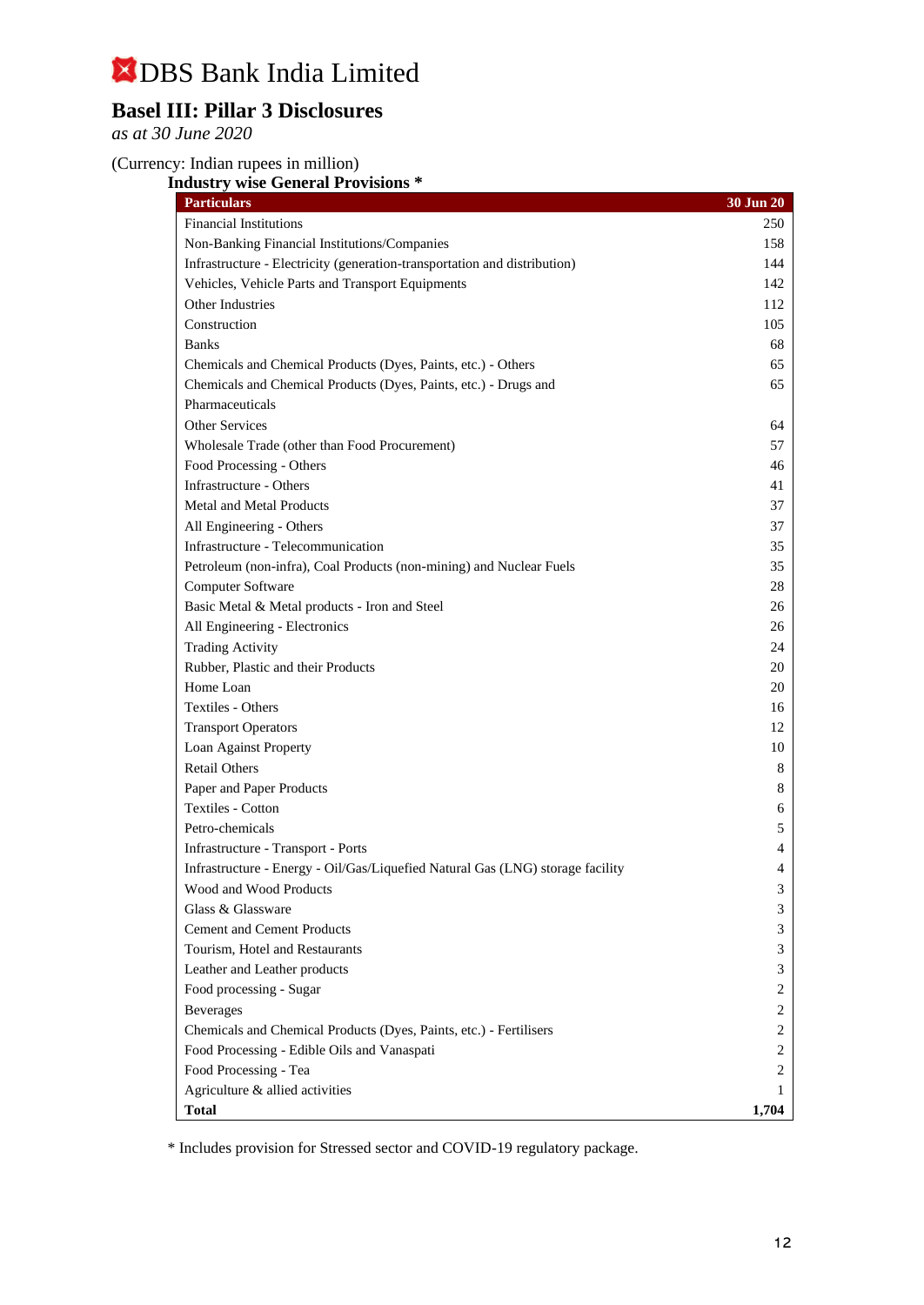## **Basel III: Pillar 3 Disclosures**

*as at 30 June 2020*

## (Currency: Indian rupees in million)

**Industry wise General Provisions \***

| <b>Particulars</b>                                                             | 30 Jun 20 |
|--------------------------------------------------------------------------------|-----------|
| <b>Financial Institutions</b>                                                  | 250       |
| Non-Banking Financial Institutions/Companies                                   | 158       |
| Infrastructure - Electricity (generation-transportation and distribution)      | 144       |
| Vehicles, Vehicle Parts and Transport Equipments                               | 142       |
| Other Industries                                                               | 112       |
| Construction                                                                   | 105       |
| <b>Banks</b>                                                                   | 68        |
| Chemicals and Chemical Products (Dyes, Paints, etc.) - Others                  | 65        |
| Chemicals and Chemical Products (Dyes, Paints, etc.) - Drugs and               | 65        |
| Pharmaceuticals                                                                |           |
| <b>Other Services</b>                                                          | 64        |
| Wholesale Trade (other than Food Procurement)                                  | 57        |
| Food Processing - Others                                                       | 46        |
| Infrastructure - Others                                                        | 41        |
| <b>Metal and Metal Products</b>                                                | 37        |
| All Engineering - Others                                                       | 37        |
| Infrastructure - Telecommunication                                             | 35        |
| Petroleum (non-infra), Coal Products (non-mining) and Nuclear Fuels            | 35        |
| Computer Software                                                              | 28        |
| Basic Metal & Metal products - Iron and Steel                                  | 26        |
| All Engineering - Electronics                                                  | 26        |
| <b>Trading Activity</b>                                                        | 24        |
| Rubber, Plastic and their Products                                             | 20        |
| Home Loan                                                                      | 20        |
| <b>Textiles - Others</b>                                                       | 16        |
| <b>Transport Operators</b>                                                     | 12        |
| Loan Against Property                                                          | 10        |
| <b>Retail Others</b>                                                           | 8         |
| Paper and Paper Products                                                       | 8         |
| <b>Textiles - Cotton</b>                                                       | 6         |
| Petro-chemicals                                                                | 5         |
| Infrastructure - Transport - Ports                                             | 4         |
| Infrastructure - Energy - Oil/Gas/Liquefied Natural Gas (LNG) storage facility | 4         |
| Wood and Wood Products                                                         | 3         |
| Glass & Glassware                                                              | 3         |
| <b>Cement and Cement Products</b>                                              | 3         |
| Tourism, Hotel and Restaurants                                                 | 3         |
| Leather and Leather products                                                   | 3         |
| Food processing - Sugar                                                        | 2         |
| <b>Beverages</b>                                                               | 2         |
| Chemicals and Chemical Products (Dyes, Paints, etc.) - Fertilisers             | 2         |
| Food Processing - Edible Oils and Vanaspati                                    | 2         |
| Food Processing - Tea                                                          | 2         |
| Agriculture & allied activities                                                | 1         |
| <b>Total</b>                                                                   | 1,704     |

\* Includes provision for Stressed sector and COVID-19 regulatory package.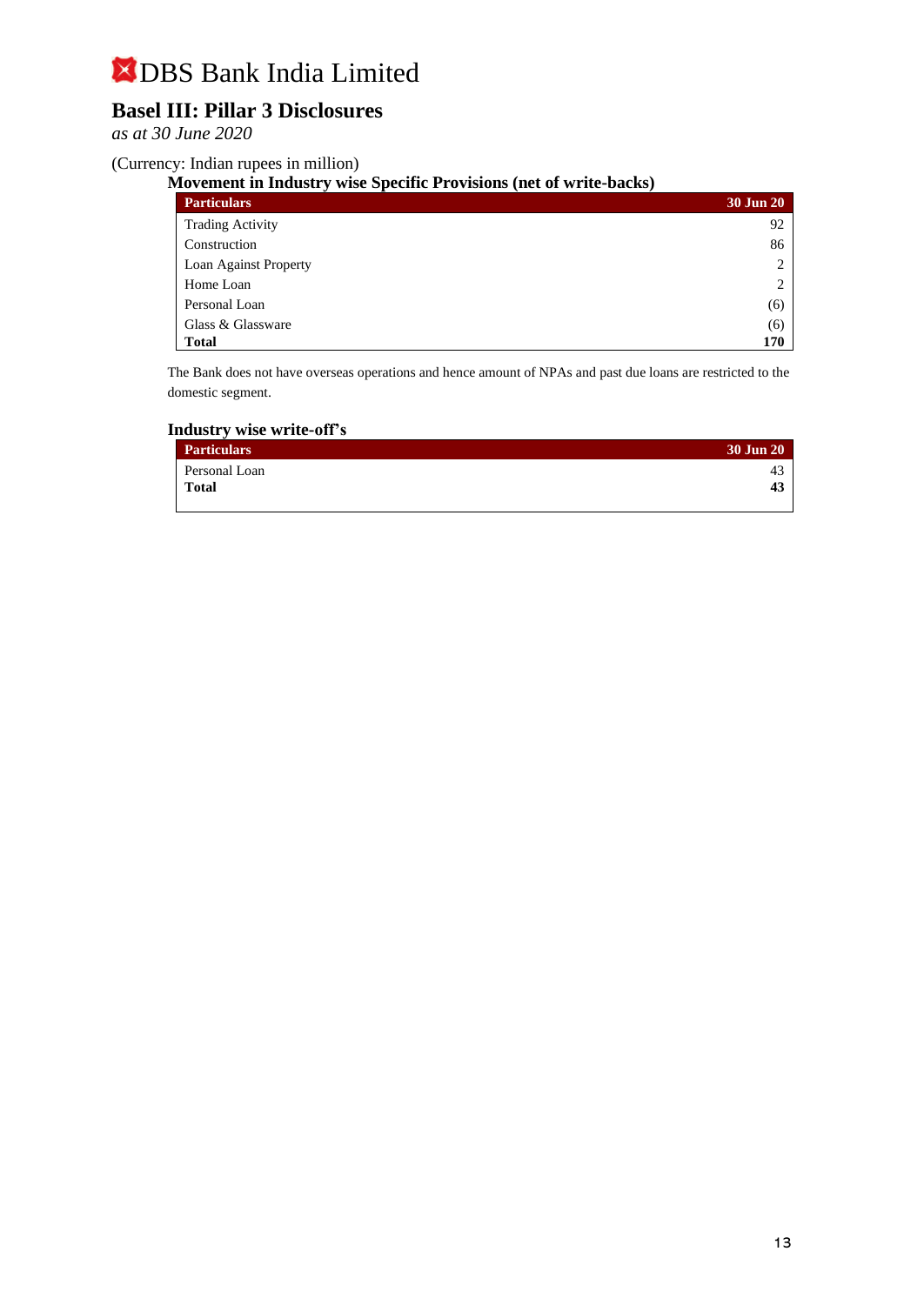# **Basel III: Pillar 3 Disclosures**

*as at 30 June 2020*

(Currency: Indian rupees in million)

**Movement in Industry wise Specific Provisions (net of write-backs)**

| <b>Particulars</b>      | 30 Jun 20 |
|-------------------------|-----------|
| <b>Trading Activity</b> | 92        |
| Construction            | 86        |
| Loan Against Property   | 2         |
| Home Loan               | 2         |
| Personal Loan           | (6)       |
| Glass & Glassware       | (6)       |
| <b>Total</b>            | 170       |

The Bank does not have overseas operations and hence amount of NPAs and past due loans are restricted to the domestic segment.

### **Industry wise write-off's**

| <b>Particulars</b> | 30 Jun 20 |
|--------------------|-----------|
| Personal Loan      | 43        |
| <b>Total</b>       | 43        |
|                    |           |